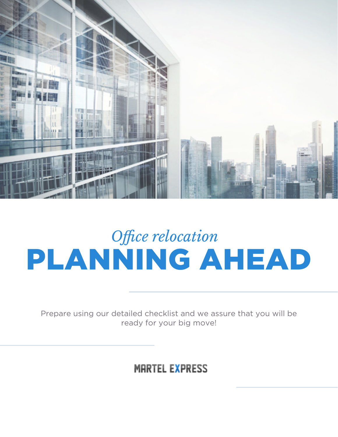

# PLANNING AHEAD *Office relocation*

Prepare using our detailed checklist and we assure that you will be ready for your big move!

#### **MARTEL EXPRESS**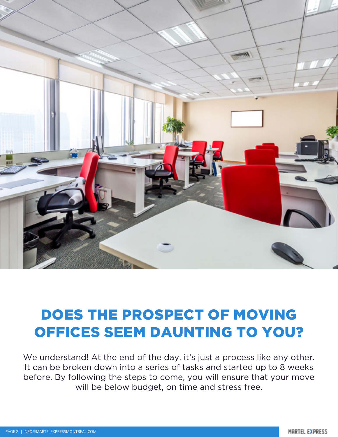

#### DOES THE PROSPECT OF MOVING OFFICES SEEM DAUNTING TO YOU?

We understand! At the end of the day, it's just a process like any other. It can be broken down into a series of tasks and started up to 8 weeks before. By following the steps to come, you will ensure that your move will be below budget, on time and stress free.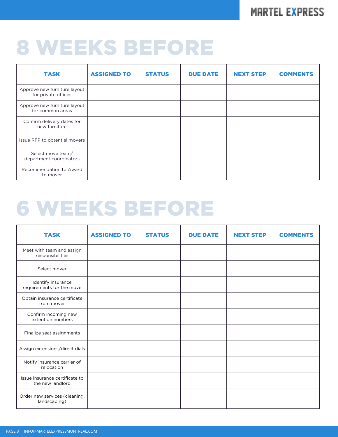#### **MARTEL EXPRESS**

### 8 WEEKS BEFORE

| <b>TASK</b>                                         | <b>ASSIGNED TO</b> | <b>STATUS</b> | <b>DUE DATE</b> | <b>NEXT STEP</b> | <b>COMMENTS</b> |
|-----------------------------------------------------|--------------------|---------------|-----------------|------------------|-----------------|
| Approve new furniture layout<br>for private offices |                    |               |                 |                  |                 |
| Approve new furniture layout<br>for common areas    |                    |               |                 |                  |                 |
| Confirm delivery dates for<br>new furniture         |                    |               |                 |                  |                 |
| Issue RFP to potential movers                       |                    |               |                 |                  |                 |
| Select move team/<br>department coordinators        |                    |               |                 |                  |                 |
| Recommendation to Award<br>to mover                 |                    |               |                 |                  |                 |

## 6 WEEKS BEFORE

| <b>TASK</b>                                        | <b>ASSIGNED TO</b> | <b>STATUS</b> | <b>DUE DATE</b> | <b>NEXT STEP</b> | <b>COMMENTS</b> |
|----------------------------------------------------|--------------------|---------------|-----------------|------------------|-----------------|
| Meet with team and assign<br>responsibilities      |                    |               |                 |                  |                 |
| Select mover                                       |                    |               |                 |                  |                 |
| Identify insurance<br>requirements for the move    |                    |               |                 |                  |                 |
| Obtain insurance certificate<br>from mover         |                    |               |                 |                  |                 |
| Confirm incoming new<br>extention numbers          |                    |               |                 |                  |                 |
| Finalize seat assignments                          |                    |               |                 |                  |                 |
| Assign extensions/direct dials                     |                    |               |                 |                  |                 |
| Notify insurance carrier of<br>relocation          |                    |               |                 |                  |                 |
| Issue insurance certificate to<br>the new landlord |                    |               |                 |                  |                 |
| Order new services (cleaning,<br>landscaping)      |                    |               |                 |                  |                 |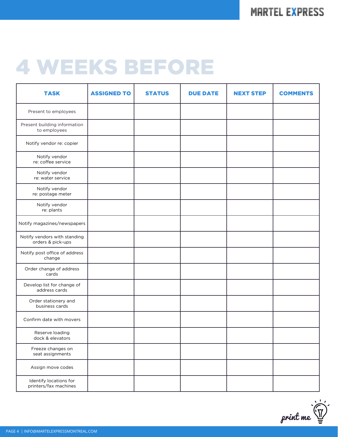## 4 WEEKS BEFORE

| <b>TASK</b>                                       | <b>ASSIGNED TO</b> | <b>STATUS</b> | <b>DUE DATE</b> | <b>NEXT STEP</b> | <b>COMMENTS</b> |
|---------------------------------------------------|--------------------|---------------|-----------------|------------------|-----------------|
| Present to employees                              |                    |               |                 |                  |                 |
| Present building information<br>to employees      |                    |               |                 |                  |                 |
| Notify vendor re: copier                          |                    |               |                 |                  |                 |
| Notify vendor<br>re: coffee service               |                    |               |                 |                  |                 |
| Notify vendor<br>re: water service                |                    |               |                 |                  |                 |
| Notify vendor<br>re: postage meter                |                    |               |                 |                  |                 |
| Notify vendor<br>re: plants                       |                    |               |                 |                  |                 |
| Notify magazines/newspapers                       |                    |               |                 |                  |                 |
| Notify vendors with standing<br>orders & pick-ups |                    |               |                 |                  |                 |
| Notify post office of address<br>change           |                    |               |                 |                  |                 |
| Order change of address<br>cards                  |                    |               |                 |                  |                 |
| Develop list for change of<br>address cards       |                    |               |                 |                  |                 |
| Order stationery and<br>business cards            |                    |               |                 |                  |                 |
| Confirm date with movers                          |                    |               |                 |                  |                 |
| Reserve loading<br>dock & elevators               |                    |               |                 |                  |                 |
| Freeze changes on<br>seat assignments             |                    |               |                 |                  |                 |
| Assign move codes                                 |                    |               |                 |                  |                 |
| Identify locations for<br>printers/fax machines   |                    |               |                 |                  |                 |

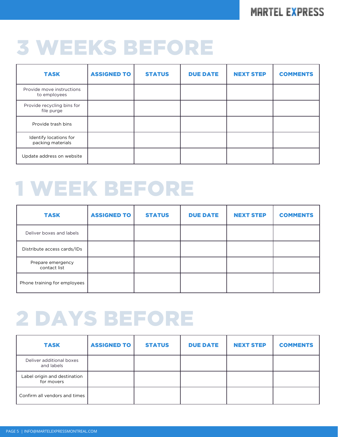#### **MARTEL EXPRESS**

## 3 WEEKS BEFORE

| <b>TASK</b>                                 | <b>ASSIGNED TO</b> | <b>STATUS</b> | <b>DUE DATE</b> | <b>NEXT STEP</b> | <b>COMMENTS</b> |
|---------------------------------------------|--------------------|---------------|-----------------|------------------|-----------------|
| Provide move instructions<br>to employees   |                    |               |                 |                  |                 |
| Provide recycling bins for<br>file purge    |                    |               |                 |                  |                 |
| Provide trash bins                          |                    |               |                 |                  |                 |
| Identify locations for<br>packing materials |                    |               |                 |                  |                 |
| Update address on website                   |                    |               |                 |                  |                 |

### 1 WEEK BEFORE

| <b>TASK</b>                       | <b>ASSIGNED TO</b> | <b>STATUS</b> | <b>DUE DATE</b> | <b>NEXT STEP</b> | <b>COMMENTS</b> |
|-----------------------------------|--------------------|---------------|-----------------|------------------|-----------------|
| Deliver boxes and labels          |                    |               |                 |                  |                 |
| Distribute access cards/IDs       |                    |               |                 |                  |                 |
| Prepare emergency<br>contact list |                    |               |                 |                  |                 |
| Phone training for employees      |                    |               |                 |                  |                 |

### 2 DAYS BEFORE

| <b>TASK</b>                                | <b>ASSIGNED TO</b> | <b>STATUS</b> | <b>DUE DATE</b> | <b>NEXT STEP</b> | <b>COMMENTS</b> |
|--------------------------------------------|--------------------|---------------|-----------------|------------------|-----------------|
| Deliver additional boxes<br>and labels     |                    |               |                 |                  |                 |
| Label origin and destination<br>for movers |                    |               |                 |                  |                 |
| Confirm all vendors and times              |                    |               |                 |                  |                 |